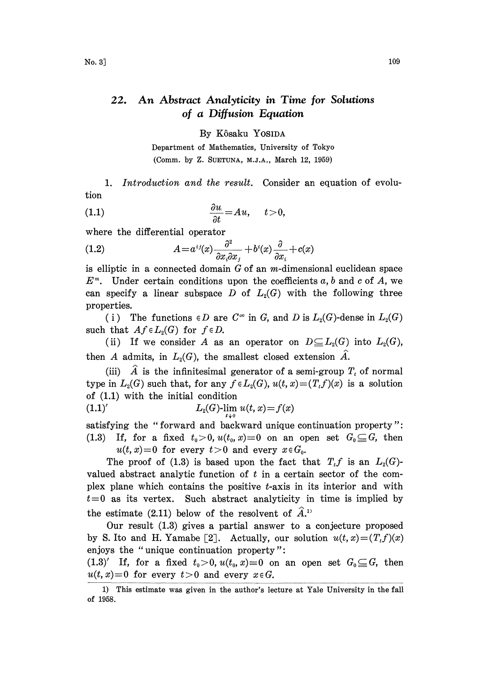## 22. An Abstract Analyticity in Time for Solutions of a Diffusion Equation

By K6saku YOSIDA

Department of Mathematics, University of Tokyo (Comm. by Z. SUETUNA, M.J.A., March 12, 1959)

1. Introduction and the result. Consider an equation of evolution

$$
\frac{\partial u}{\partial t} = Au, \quad t > 0,
$$

where the differential operator

(1.2) 
$$
A = a^{ij}(x) \frac{\partial^2}{\partial x_i \partial x_j} + b^i(x) \frac{\partial}{\partial x_i} + c(x)
$$

is elliptic in a connected domain  $G$  of an m-dimensional euclidean space  $E^m$ . Under certain conditions upon the coefficients a, b and c of A, we can specify a linear subspace D of  $L_2(G)$  with the following three properties.

(i) The functions  $\in D$  are  $C^{\infty}$  in G, and D is  $L_2(G)$ -dense in  $L_2(G)$ such that  $Af \in L_2(G)$  for  $f \in D$ .

(ii) If we consider A as an operator on  $D \subseteq L_2(G)$  into  $L_2(G)$ , then A admits, in  $L_2(G)$ , the smallest closed extension  $\hat{A}$ .

(iii)  $\hat{A}$  is the infinitesimal generator of a semi-group  $T<sub>t</sub>$  of normal type in  $L_2(G)$  such that, for any  $f \in L_2(G)$ ,  $u(t, x) = (T_t f)(x)$  is a solution of (1.1) with the initial condition

(1.1)' 
$$
L_2(G) \lim_{t \to 0} u(t, x) = f(x)
$$

satisfying the "forward and backward unique continuation property"" (1.3) If, for a fixed  $t_0>0$ ,  $u(t_0, x)=0$  on an open set  $G_0 \subseteq G$ , then  $u(t, x)=0$  for every  $t>0$  and every  $x \in G_0$ .

The proof of (1.3) is based upon the fact that  $T_t f$  is an  $L_2(G)$ valued abstract analytic function of  $t$  in a certain sector of the complex plane which contains the positive  $t$ -axis in its interior and with  $t=0$  as its vertex. Such abstract analyticity in time is implied by the estimate (2.11) below of the resolvent of  $\hat{A}^{(1)}$ 

Our result (1.3) gives a partial answer to a conjecture proposed by S. Ito and H. Yamabe [2]. Actually, our solution  $u(t, x) = (T_t f)(x)$ enjoys the "unique continuation property":

 $(1.3)'$  If, for a fixed  $t_0>0$ ,  $u(t_0, x)=0$  on an open set  $G_0 \subseteq G$ , then  $u(t, x)=0$  for every  $t>0$  and every  $x \in G$ .

<sup>1)</sup> This estimate was given in the author's lecture at Yale University in the fall of 1958.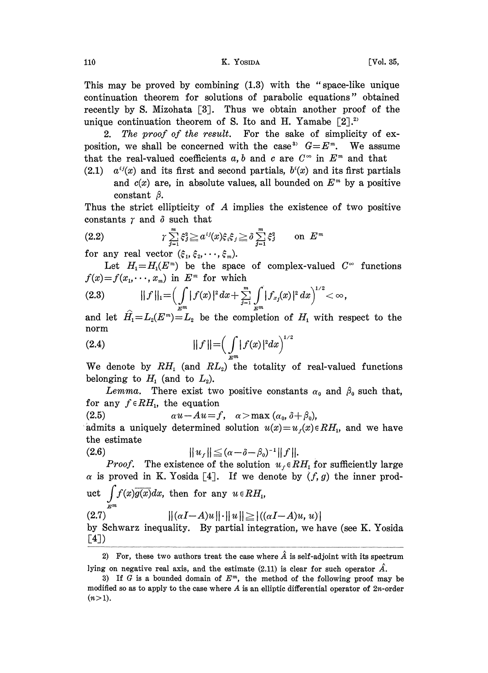This may be proved by combining (1.3) with the "space-like unique continuation theorem for solutions of parabolic equations" obtained recently by S. Mizohata  $[3]$ . Thus we obtain another proof of the unique continuation theorem of S. Ito and H. Yamabe  $[2].^{2}$ 

2. The proof of the result. For the sake of simplicity of exposition, we shall be concerned with the case<sup>3</sup>  $G=E<sup>m</sup>$ . We assume that the real-valued coefficients a, b and c are  $C^{\infty}$  in  $E^m$  and that

(2.1)  $a^{ij}(x)$  and its first and second partials,  $b^{i}(x)$  and its first partials and  $c(x)$  are, in absolute values, all bounded on  $E<sup>m</sup>$  by a positive constant  $\beta$ .

Thus the strict ellipticity of A implies the existence of two positive

constants 
$$
\gamma
$$
 and  $\delta$  such that  
\n
$$
\gamma \sum_{j=1}^{m} \xi_j^2 \ge a^{ij}(x) \xi_i \xi_j \ge \delta \sum_{j=1}^{m} \xi_j^2 \quad \text{on } E^m
$$

for any real vector  $(\xi_1, \xi_2, \dots, \xi_m)$ .

Let  $H_1=H_1(E^m)$  be the space of complex-valued  $C^{\infty}$  functions  $f(x)=f(x_1,\dots,x_m)$  in  $E^m$  for which

$$
(2.3) \t\t\t || f ||_1 = \Big( \int\limits_{E^m} |f(x)|^2 dx + \sum\limits_{j=1}^m \int\limits_{E^m} |f_{x_j}(x)|^2 dx \Big)^{1/2} < \infty,
$$

and let  $H_1 = L_2(E^m) = L_2$  be the completion of  $H_1$  with respect to the norm  $\overline{\mathbf{2}}$ 

(2.4) 
$$
|| f || = \left( \int_{\mathbb{R}^m} |f(x)|^2 dx \right)^{1/2}
$$

We denote by  $RH_1$  (and  $RL_2$ ) the totality of real-valued functions belonging to  $H_1$  (and to  $L_2$ ).

Lemma. There exist two positive constants  $\alpha_0$  and  $\beta_0$  such that, for any  $f \in RH_1$ , the equation

(2.5)  $\alpha u - Au = f, \quad \alpha > \max(\alpha_0, \delta + \beta_0),$ 

admits a uniquely determined solution  $u(x)=u_f(x) \in RH_1$ , and we have the estimate  $\overline{a}$   $\overline{a}$   $\overline{a}$   $\overline{a}$   $\overline{a}$   $\overline{a}$   $\overline{a}$   $\overline{a}$   $\overline{a}$   $\overline{a}$   $\overline{a}$   $\overline{a}$   $\overline{a}$   $\overline{a}$   $\overline{a}$   $\overline{a}$   $\overline{a}$   $\overline{a}$   $\overline{a}$   $\overline{a}$   $\overline{a}$   $\overline{a}$   $\overline{a}$   $\overline{a}$   $\overline{$ 

\n- (2.6) 
$$
||u_f|| \leq (\alpha - \delta - \beta_0)^{-1}||f||
$$
. *Proof.* The existence of the solution  $u_f \in RH_1$  for sufficiently large  $\alpha$  is proved in K. Yosida [4]. If we denote by  $(f, g)$  the inner product  $\int_{\mathbb{Z}^m} f(x) \overline{g(x)} dx$ , then for any  $u \in RH_1$ ,
\n- (2.7)  $||(\alpha I - A)u|| \cdot ||u|| \geq |((\alpha I - A)u, u)|$  by Schwarz inequality. By partial integration, we have (see K. Yosida [4])
\n

2) For, these two authors treat the case where  $\hat{A}$  is self-adjoint with its spectrum lying on negative real axis, and the estimate (2.11) is clear for such operator  $\hat{A}$ .

<sup>3)</sup> If G is a bounded domain of  $E^m$ , the method of the following proof may be modified so as to apply to the case where  $A$  is an elliptic differential operator of  $2n$ -order  $(n>1)$ .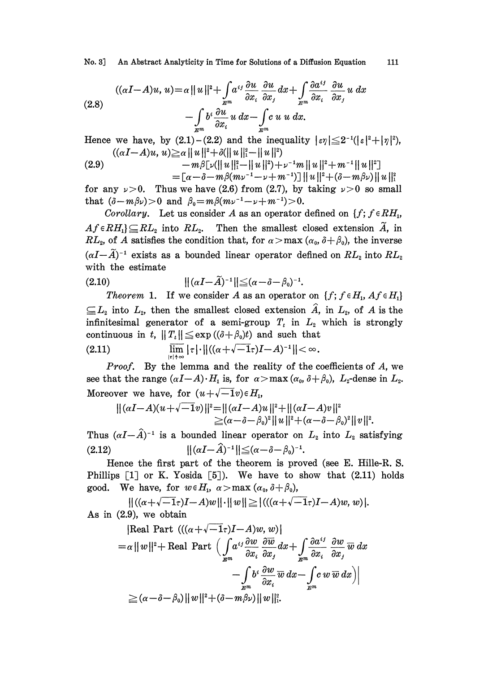No. 3] An Abstract Analyticity in Time for Solutions of a Diffusion Equation 111

(2.8)  
\n
$$
((\alpha I - A)u, u) = \alpha ||u||^2 + \int_{\mathbb{Z}^m} a^{ij} \frac{\partial u}{\partial x_i} \frac{\partial u}{\partial x_j} dx + \int_{\mathbb{Z}^m} \frac{\partial a^{ij}}{\partial x_i} \frac{\partial u}{\partial x_j} u dx
$$
\n
$$
- \int_{\mathbb{Z}^m} b^i \frac{\partial u}{\partial x_i} u dx - \int_{\mathbb{Z}^m} c u u dx.
$$

Hence we have, by  $(2.1)$  –  $(2.2)$  and the inequality  $|\varepsilon \eta| \leq 2^{-1} (|\varepsilon|^2 + |\eta|^2)$ ,  $((\alpha I - A)u, u) \ge \alpha ||u||^2 + \delta (||u||_1^2 - ||u||^2)$ 

$$
(2.9) \quad -m\beta[\nu(\|u\|_1^2 - \|u\|^2) + \nu^{-1}m\|u\|^2 + m^{-1}\|u\|^2] \\ = [\alpha - \delta - m\beta(m\nu^{-1} - \nu + m^{-1})]\|u\|^2 + (\delta - m\beta\nu)\|u\|^2
$$

for any  $\nu > 0$ . Thus we have (2.6) from (2.7), by taking  $\nu > 0$  so small that  $(\delta-m\beta\nu)>0$  and  $\beta_0=m\beta(m\nu^{-1}-\nu+m^{-1})>0$ .

Corollary. Let us consider A as an operator defined on  $\{f; f \in RH_1\}$ ,  $Af \in RH_1$ }  $\subseteq$   $RL_2$  into  $RL_2$ . Then the smallest closed extension  $\widetilde{A}$ , in  $RL_2$ , of A satisfies the condition that, for  $\alpha > \max(\alpha_0, \delta+\beta_0)$ , the inverse  $(\alpha I - \widetilde{A})^{-1}$  exists as a bounded linear operator defined on  $RL_2$  into  $RL_2$ <br>with the estimate with the estimate

$$
||(\alpha I - \widetilde{A})^{-1}|| \leq (\alpha - \delta - \beta_0)^{-1}.
$$

(2.10)  $\|(aI-A)^{-1}\| \leq (a-\delta-\beta_0)^{-1}$ .<br>
Theorem 1. If we consider A as an operator on  $\{f: f \in H_1, Af \in H_1\}$ <br>  $\subseteq L_2$  into  $L_2$ , then the smallest closed extension  $\hat{A}$ , in  $L_2$ , of A is the Theorem 1. If we consider A as an operator on  $\{f; f \in H_1, Af \in H_1\}$ infinitesimal generator of a semi-group  $T_t$  in  $L_2$  which is strongly continuous in t,  $||T_t|| \leq exp((\delta + \beta_0)t)$  and such that

$$
\lim_{|\tau|\to\infty}|\tau|\cdot||((\alpha+\sqrt{-1}\tau)I-A)^{-1}||<\infty.
$$

*Proof.* By the lemma and the reality of the coefficients of  $A$ , we see that the range  $(\alpha I-A) \cdot H_1$  is, for  $\alpha > \max(\alpha_0, \delta+\beta_0)$ ,  $L_2$ -dense in  $L_2$ . Moreover we have, for  $(u+\sqrt{-1}v)\in H_1$ ,

$$
||(\alpha I - A)(u + \sqrt{-1}v)||^2 = ||(\alpha I - A)u||^2 + ||(\alpha I - A)v||^2
$$
  
\n
$$
\geq (\alpha - \delta - \beta_0)^2 ||u||^2 + (\alpha - \delta - \beta_0)^2 ||v||^2.
$$

 $\|\hat{f}^2 = \|(\alpha I - A)u\|^2 + \|(\alpha I - A)v\|_2 (\alpha - \delta - \beta_0)^2 \|u\|^2 + (\alpha - \delta - \delta_0)$ <br>led linear operator on  $L_2$  in<br> $[-\hat{A})^{-1} \| \leq (\alpha - \delta - \beta_0)^{-1}.$ Thus  $(\alpha I - \hat{A})^{-1}$  is a bounded linear operator on  $L_2$  into  $L_2$  satisfying<br>(2.12)  $||(\alpha I - \hat{A})^{-1}|| < (\alpha - \hat{\delta} - \beta_0)^{-1}$ . (2.12)  $||(\alpha I - \hat{A})^{-1}|| \leq (\alpha - \delta - \beta_0)^{-1}$ .

 $\delta - \beta_0$ )<sup>-1</sup>.<br>
1 is prove<br>
ve to s Hence the first part of the theorem is proved (see E. Hille-R. S. Phillips  $[1]$  or K. Yosida  $[5]$ ). We have to show that  $(2.11)$  holds good. We have, for  $w \in H_1$ ,  $\alpha > \max(\alpha_0, \delta + \beta_0)$ ,

 $||((\alpha+\sqrt{-1}\tau)I-A)w||\cdot||w|| \ge |(((\alpha+\sqrt{-1}\tau)I-A)w,w)|.$ As in (2.9), we obtain

[Real Part 
$$
((\alpha + \sqrt{-1} \tau)I - A)w, w)
$$
]  
\n
$$
= \alpha ||w||^{2} + \text{Real Part } \Big( \int_{\mathbb{R}^{m}} a^{ij} \frac{\partial w}{\partial x_{i}} \frac{\partial \overline{w}}{\partial x_{j}} dx + \int_{\mathbb{R}^{m}} \frac{\partial a^{ij}}{\partial x_{i}} \frac{\partial w}{\partial x_{j}} \overline{w} dx
$$
\n
$$
- \int_{\mathbb{R}^{m}} b^{i} \frac{\partial w}{\partial x_{i}} \overline{w} dx - \int_{\mathbb{R}^{m}} c w \overline{w} dx \Big)
$$
\n
$$
\geq (\alpha - \delta - \beta_{0}) ||w||^{2} + (\delta - m \beta_{U}) ||w||^{2}.
$$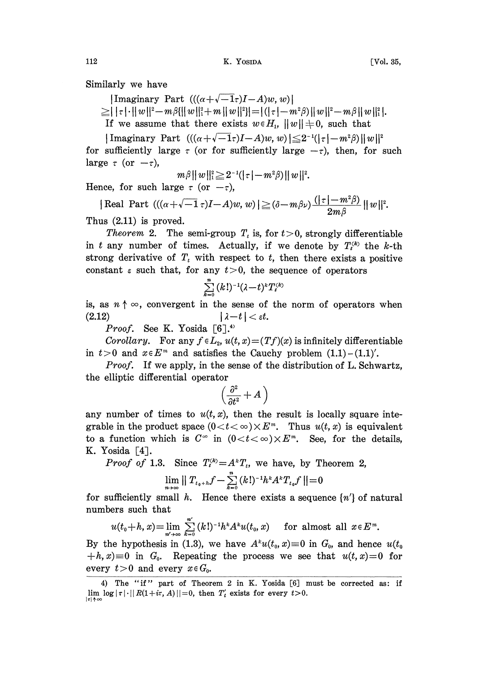|Imaginary Part  $(((\alpha + \sqrt{-1} \tau)I - A)w, w)$ |

 $\geq$   $|\tau| \cdot ||w||^2 - m\beta(||w||_1^2 + m||w||^2) = |(|\tau| - m^2\beta)||w||^2 - m\beta||w||_1^2$ .

If we assume that there exists  $w \in H_1$ ,  $||w|| \neq 0$ , such that

 $|\text{Imaginary Part } (((\alpha+\sqrt{-1}\tau)I-A)w, w)| \leq 2^{-1}(|\tau|-m^2\beta)||w||^2)$ for sufficiently large  $\tau$  (or for sufficiently large  $-\tau$ ), then, for such large  $\tau$  (or  $-\tau$ ),

$$
m\beta||w||_1^2\!\ge\!2^{-1}(|\,\tau|-m^2\beta)\,||\,w\,||^2.
$$

Hence, for such large  $\tau$  (or  $-\tau$ ),

Real Part  $((\alpha+\sqrt{-1}\,\tau)I-A)w, w)$   $\geq (\delta-m\beta)\sqrt{(|\tau|-m^2\beta)}$  $2m$   $\beta$ 

Thus (2.11) is proved.

*Theorem* 2. The semi-group  $T<sub>t</sub>$  is, for  $t > 0$ , strongly differentiable in t any number of times. Actually, if we denote by  $T_i^{(k)}$  the k-th strong derivative of  $T_t$  with respect to t, then there exists a positive constant  $\varepsilon$  such that, for any  $t>0$ , the sequence of operators

$$
\textstyle\sum\limits_{i=0}^{n} (k!)^{-1}(\lambda\!-\!t)^{k}T_i^{(k)}
$$

is, as  $n \uparrow \infty$ , convergent in the sense of the norm of operators when  $(2.12)$  $|\lambda-t| < \varepsilon t$ .

*Proof.* See K. Yosida  $[6]^{4}$ 

Corollary. For any  $f \in L_2$ ,  $u(t, x) = (Tf)(x)$  is infinitely differentiable in  $t > 0$  and  $x \in E<sup>m</sup>$  and satisfies the Cauchy problem  $(1.1) - (1.1)'$ .

*Proof.* If we apply, in the sense of the distribution of L. Schwartz, the elliptic differential operator

$$
\left(\frac{\partial^2}{\partial t^2} + A\,\right)
$$

any number of times to  $u(t, x)$ , then the result is locally square integrable in the product space  $(0 < t < \infty) \times E<sup>m</sup>$ . Thus  $u(t, x)$  is equivalent to a function which is  $C^{\infty}$  in  $(0 < t < \infty) \times E^{m}$ . See, for the details, K. Yosida  $\lceil 4 \rceil$ .

*Proof of* 1.3. Since  $T_i^{(k)} = A^T_i$ , we have, by Theorem 2,

$$
\lim_{n\rightarrow\infty}\mid\mid T_{t_0+h}f-\sum_{k=0}^n\left(k!\right)^{-1}h^kA^kT_{t_0}f\mid\mid=0
$$

for sufficiently small *h*. Hence there exists a sequence  $\{n'\}$  of natural numbers such that<br>  $u(t_0+h, x) = \lim_{n'\to\infty} \sum_{k=0}^{n'} (k!)^{-1}h^k A^k u(t_0, x)$  for almost all  $x \in E^m$ . numbers such that

$$
u(t_0+h,x)=\lim_{n'\to\infty}\sum_{k=0}^{n'}(k!)^{-1}h^kA^ku(t_0,x)\quad\text{ for almost all }x\in E^m.
$$

By the hypothesis in (1.3), we have  $A^k u(t_0, x) \equiv 0$  in  $G_0$ , and hence  $u(t_0)$  $+h, x \equiv 0$  in  $G_0$ . Repeating the process we see that  $u(t, x) = 0$  for every  $t>0$  and every  $x \in G_0$ .

<sup>4)</sup> The "if" part of Theorem 2 in K. Yosida [6] must be corrected as: if lim  $\log |\tau| \cdot ||R(1+i\tau, A)||=0$ , then  $T'_t$  exists for every  $t>0$ .